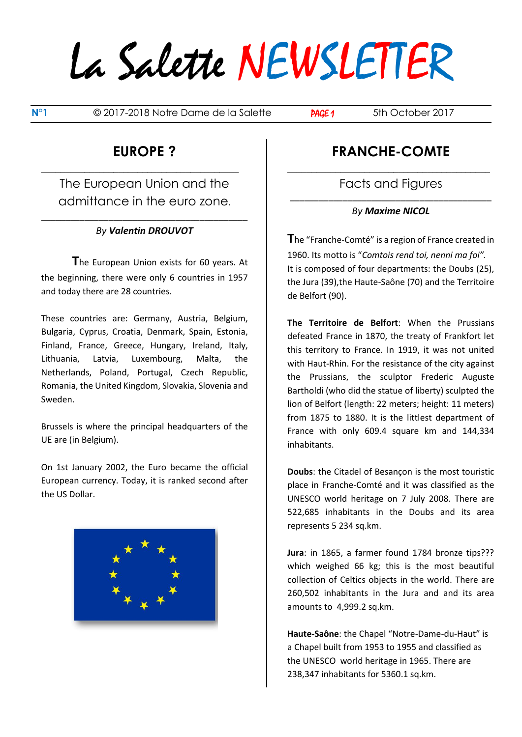**N°1** © 2017-2018 Notre Dame de la Salette **PAGE 1** 5th October 2017

### **EUROPE ?**

**\_\_\_\_\_\_\_\_\_\_\_\_\_\_\_\_\_\_\_\_\_\_\_\_\_\_\_\_\_\_\_\_\_\_\_\_\_\_\_\_\_**

The European Union and the admittance in the euro zone.

#### \_\_\_\_\_\_\_\_\_\_\_\_\_\_\_\_\_\_\_\_\_\_\_\_\_\_\_\_\_\_\_\_\_\_\_\_\_\_\_\_\_\_\_ *By Valentin DROUVOT*

**T**he European Union exists for 60 years. At the beginning, there were only 6 countries in 1957 and today there are 28 countries.

These countries are: Germany, Austria, Belgium, Bulgaria, Cyprus, Croatia, Denmark, Spain, Estonia, Finland, France, Greece, Hungary, Ireland, Italy, Lithuania, Latvia, Luxembourg, Malta, the Netherlands, Poland, Portugal, Czech Republic, Romania, the United Kingdom, Slovakia, Slovenia and Sweden.

Brussels is where the principal headquarters of the UE are (in Belgium).

On 1st January 2002, the Euro became the official European currency. Today, it is ranked second after the US Dollar.



### **FRANCHE-COMTE**

**\_\_\_\_\_\_\_\_\_\_\_\_\_\_\_\_\_\_\_\_\_\_\_\_\_\_\_\_\_\_\_\_\_\_\_\_\_\_\_\_\_\_** Facts and Figures \_\_\_\_\_\_\_\_\_\_\_\_\_\_\_\_\_\_\_\_\_\_\_\_\_\_\_\_\_\_\_\_\_\_\_\_\_\_\_\_\_\_

*By Maxime NICOL*

**T**he "Franche-Comté" is a region of France created in 1960. Its motto is "*Comtois rend toi, nenni ma foi".* It is composed of four departments: the Doubs (25), the Jura (39),the Haute-Saône (70) and the Territoire de Belfort (90).

**The Territoire de Belfort**: When the Prussians defeated France in 1870, the treaty of Frankfort let this territory to France. In 1919, it was not united with Haut-Rhin. For the resistance of the city against the Prussians, the sculptor Frederic Auguste Bartholdi (who did the statue of liberty) sculpted the lion of Belfort (length: 22 meters; height: 11 meters) from 1875 to 1880. It is the littlest department of France with only 609.4 square km and 144,334 inhabitants.

**Doubs**: the Citadel of Besançon is the most touristic place in Franche-Comté and it was classified as the UNESCO world heritage on 7 July 2008. There are 522,685 inhabitants in the Doubs and its area represents 5 234 sq.km.

**Jura**: in 1865, a farmer found 1784 bronze tips??? which weighed 66 kg; this is the most beautiful collection of Celtics objects in the world. There are 260,502 inhabitants in the Jura and and its area amounts to 4,999.2 sq.km.

**Haute-Saône**: the Chapel "Notre-Dame-du-Haut" is a Chapel built from 1953 to 1955 and classified as the UNESCO world heritage in 1965. There are 238,347 inhabitants for 5360.1 sq.km.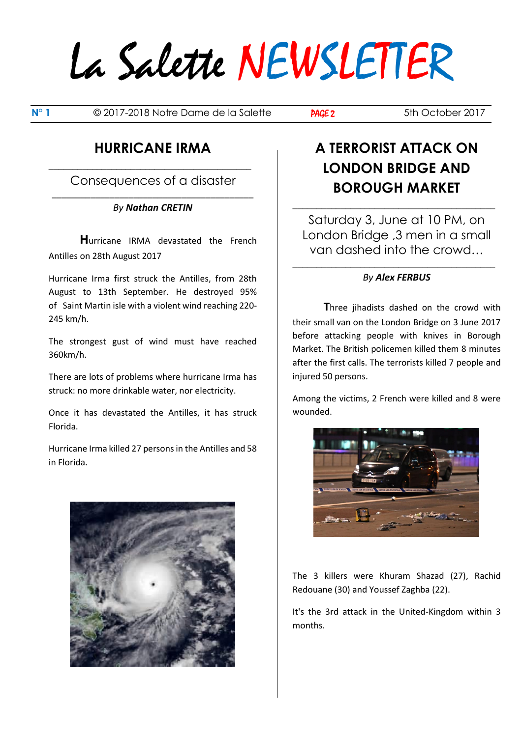**N° 1** © 2017-2018 Notre Dame de la Salette **PAGE 2** 5th October 2017

### **HURRICANE IRMA**

**\_\_\_\_\_\_\_\_\_\_\_\_\_\_\_\_\_\_\_\_\_\_\_\_\_\_\_\_\_\_\_\_\_\_\_\_\_\_\_\_\_\_** Consequences of a disaster

#### \_\_\_\_\_\_\_\_\_\_\_\_\_\_\_\_\_\_\_\_\_\_\_\_\_\_\_\_\_\_\_\_\_\_\_\_\_\_\_\_\_\_ *By Nathan CRETIN*

**H**urricane IRMA devastated the French Antilles on 28th August 2017

Hurricane Irma first struck the Antilles, from 28th August to 13th September. He destroyed 95% of Saint Martin isle with a violent wind reaching 220- 245 km/h.

The strongest gust of wind must have reached 360km/h.

There are lots of problems where hurricane Irma has struck: no more drinkable water, nor electricity.

Once it has devastated the Antilles, it has struck Florida.

Hurricane Irma killed 27 persons in the Antilles and 58 in Florida.



## **A TERRORIST ATTACK ON LONDON BRIDGE AND BOROUGH MARKET**

Saturday 3, June at 10 PM, on London Bridge ,3 men in a small van dashed into the crowd…

**\_\_\_\_\_\_\_\_\_\_\_\_\_\_\_\_\_\_\_\_\_\_\_\_\_\_\_\_\_\_\_\_\_\_\_\_\_\_\_\_\_\_**

### **\_\_\_\_\_\_\_\_\_\_\_\_\_\_\_\_\_\_\_\_\_\_\_\_\_\_\_\_\_\_\_\_\_\_\_\_\_\_\_\_\_\_** *By Alex FERBUS*

**T**hree jihadists dashed on the crowd with their small van on the London Bridge on 3 June 2017 before attacking people with knives in Borough Market. The British policemen killed them 8 minutes after the first calls. The terrorists killed 7 people and injured 50 persons.

Among the victims, 2 French were killed and 8 were wounded.



The 3 killers were Khuram Shazad (27), Rachid Redouane (30) and Youssef Zaghba (22).

It's the 3rd attack in the United-Kingdom within 3 months.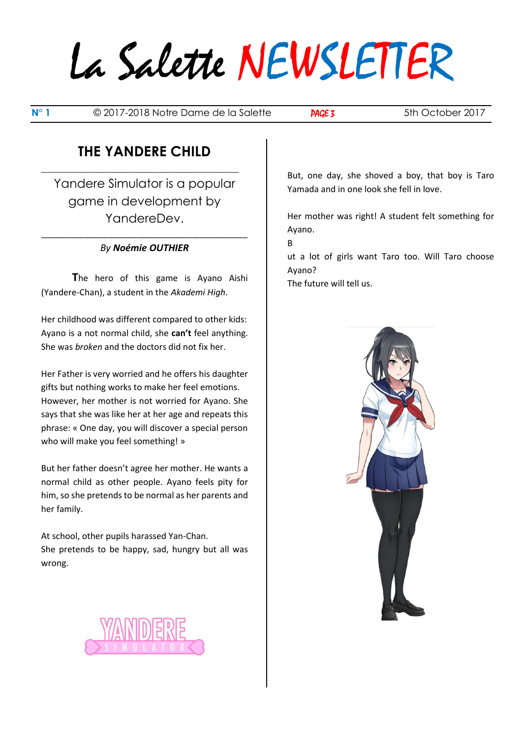**N° 1** © 2017-2018 Notre Dame de la Salette **PAGE 3** 5th October 2017

## **THE YANDERE CHILD**

**\_\_\_\_\_\_\_\_\_\_\_\_\_\_\_\_\_\_\_\_\_\_\_\_\_\_\_\_\_\_\_\_\_\_\_\_\_\_\_\_\_**

Yandere Simulator is a popular game in development by YandereDev.

#### \_\_\_\_\_\_\_\_\_\_\_\_\_\_\_\_\_\_\_\_\_\_\_\_\_\_\_\_\_\_\_\_\_\_\_\_\_\_\_\_\_\_\_ *By Noémie OUTHIER*

**T**he hero of this game is Ayano Aishi (Yandere-Chan), a student in the *Akademi High*.

Her childhood was different compared to other kids: Ayano is a not normal child, she **can't** feel anything. She was *broken* and the doctors did not fix her.

Her Father is very worried and he offers his daughter gifts but nothing works to make her feel emotions. However, her mother is not worried for Ayano. She says that she was like her at her age and repeats this phrase: « One day, you will discover a special person who will make you feel something! »

But her father doesn't agree her mother. He wants a normal child as other people. Ayano feels pity for him, so she pretends to be normal as her parents and her family.

At school, other pupils harassed Yan-Chan. She pretends to be happy, sad, hungry but all was wrong.



But, one day, she shoved a boy, that boy is Taro Yamada and in one look she fell in love.

Her mother was right! A student felt something for Ayano.

B

ut a lot of girls want Taro too. Will Taro choose Ayano?

The future will tell us.

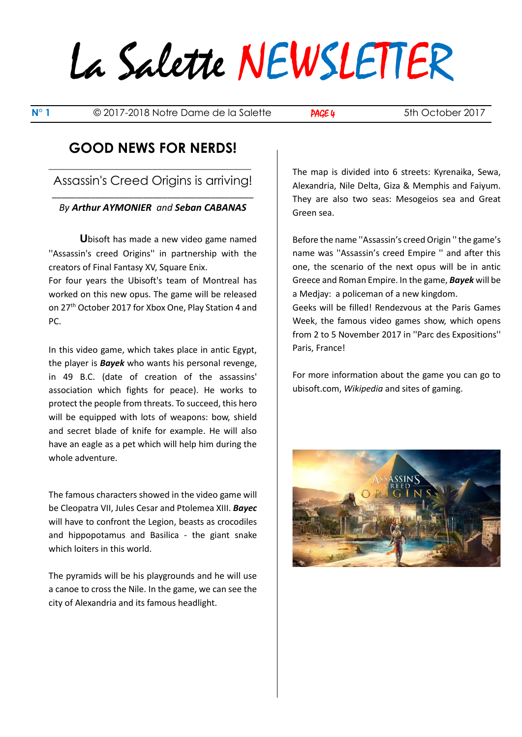**N° 1** © 2017-2018 Notre Dame de la Salette **PAGE 4** 5th October 2017

### **GOOD NEWS FOR NERDS!**

**\_\_\_\_\_\_\_\_\_\_\_\_\_\_\_\_\_\_\_\_\_\_\_\_\_\_\_\_\_\_\_\_\_\_\_\_\_\_\_\_\_\_** Assassin's Creed Origins is arriving! \_\_\_\_\_\_\_\_\_\_\_\_\_\_\_\_\_\_\_\_\_\_\_\_\_\_\_\_\_\_\_\_\_\_\_\_\_\_\_\_\_\_

#### *By Arthur AYMONIER and Seban CABANAS*

**U**bisoft has made a new video game named ''Assassin's creed Origins'' in partnership with the creators of Final Fantasy XV, Square Enix.

For four years the Ubisoft's team of Montreal has worked on this new opus. The game will be released on 27<sup>th</sup> October 2017 for Xbox One, Play Station 4 and PC.

In this video game, which takes place in antic Egypt, the player is *Bayek* who wants his personal revenge, in 49 B.C. (date of creation of the assassins' association which fights for peace). He works to protect the people from threats. To succeed, this hero will be equipped with lots of weapons: bow, shield and secret blade of knife for example. He will also have an eagle as a pet which will help him during the whole adventure.

The famous characters showed in the video game will be Cleopatra VII, Jules Cesar and Ptolemea XIII. *Bayec* will have to confront the Legion, beasts as crocodiles and hippopotamus and Basilica - the giant snake which loiters in this world.

The pyramids will be his playgrounds and he will use a canoe to cross the Nile. In the game, we can see the city of Alexandria and its famous headlight.

The map is divided into 6 streets: Kyrenaika, Sewa, Alexandria, Nile Delta, Giza & Memphis and Faiyum. They are also two seas: Mesogeios sea and Great Green sea.

Before the name ''Assassin's creed Origin '' the game's name was ''Assassin's creed Empire '' and after this one, the scenario of the next opus will be in antic Greece and Roman Empire. In the game, *Bayek* will be a Medjay: a policeman of a new kingdom.

Geeks will be filled! Rendezvous at the Paris Games Week, the famous video games show, which opens from 2 to 5 November 2017 in ''Parc des Expositions'' Paris, France!

For more information about the game you can go to ubisoft.com, *Wikipedia* and sites of gaming.